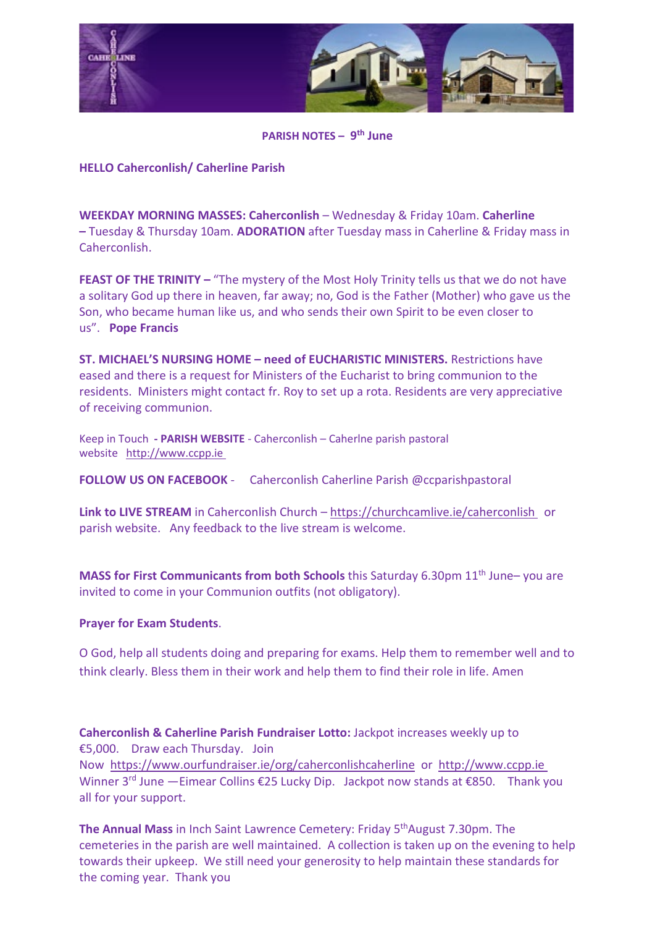

**PARISH NOTES – 9th June**

## **HELLO Caherconlish/ Caherline Parish**

**WEEKDAY MORNING MASSES: Caherconlish** – Wednesday & Friday 10am. **Caherline –** Tuesday & Thursday 10am. **ADORATION** after Tuesday mass in Caherline & Friday mass in Caherconlish.

**FEAST OF THE TRINITY –** "The mystery of the Most Holy Trinity tells us that we do not have a solitary God up there in heaven, far away; no, God is the Father (Mother) who gave us the Son, who became human like us, and who sends their own Spirit to be even closer to us". **Pope Francis** 

**ST. MICHAEL'S NURSING HOME – need of EUCHARISTIC MINISTERS.** Restrictions have eased and there is a request for Ministers of the Eucharist to bring communion to the residents. Ministers might contact fr. Roy to set up a rota. Residents are very appreciative of receiving communion.

Keep in Touch **- PARISH WEBSITE** - Caherconlish – Caherlne parish pastoral website [http://www.ccpp.ie](http://www.ccpp.ie/) 

**FOLLOW US ON FACEBOOK** - Caherconlish Caherline Parish @ccparishpastoral

**Link to LIVE STREAM** in Caherconlish Church – <https://churchcamlive.ie/caherconlish>or parish website. Any feedback to the live stream is welcome.

**MASS for First Communicants from both Schools** this Saturday 6.30pm 11<sup>th</sup> June– you are invited to come in your Communion outfits (not obligatory).

## **Prayer for Exam Students**.

O God, help all students doing and preparing for exams. Help them to remember well and to think clearly. Bless them in their work and help them to find their role in life. Amen

**Caherconlish & Caherline Parish Fundraiser Lotto:** Jackpot increases weekly up to €5,000. Draw each Thursday. Join Now <https://www.ourfundraiser.ie/org/caherconlishcaherline> or [http://www.ccpp.ie](http://www.ccpp.ie/)  Winner 3<sup>rd</sup> June —Eimear Collins €25 Lucky Dip. Jackpot now stands at €850. Thank you all for your support.

**The Annual Mass** in Inch Saint Lawrence Cemetery: Friday 5<sup>th</sup>August 7.30pm. The cemeteries in the parish are well maintained. A collection is taken up on the evening to help towards their upkeep. We still need your generosity to help maintain these standards for the coming year. Thank you